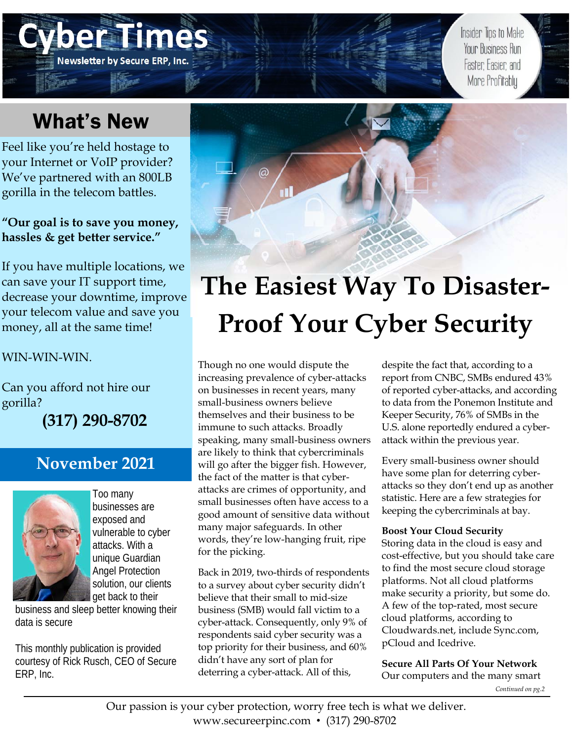### eram **Newsletter by Secure ERP, Inc.**

Insider Tips to Make Your Business Run Faster: Easier: and More Profitably

## What's New

Feel like you're held hostage to your Internet or VoIP provider? We've partnered with an 800LB gorilla in the telecom battles.

### **"Our goal is to save you money, hassles & get better service."**

If you have multiple locations, we can save your IT support time, decrease your downtime, improve your telecom value and save you money, all at the same time!

WIN-WIN-WIN.

Can you afford not hire our gorilla?

**(317) 290-8702** 

### **November 2021**



Too many businesses are exposed and vulnerable to cyber attacks. With a unique Guardian Angel Protection solution, our clients get back to their

business and sleep better knowing their data is secure

This monthly publication is provided courtesy of Rick Rusch, CEO of Secure ERP, Inc.



# **The Easiest Way To Disaster-Proof Your Cyber Security**

Though no one would dispute the increasing prevalence of cyber-attacks on businesses in recent years, many small-business owners believe themselves and their business to be immune to such attacks. Broadly speaking, many small-business owners are likely to think that cybercriminals will go after the bigger fish. However, the fact of the matter is that cyberattacks are crimes of opportunity, and small businesses often have access to a good amount of sensitive data without many major safeguards. In other words, they're low-hanging fruit, ripe for the picking.

Back in 2019, two-thirds of respondents to a survey about cyber security didn't believe that their small to mid-size business (SMB) would fall victim to a cyber-attack. Consequently, only 9% of respondents said cyber security was a top priority for their business, and 60% didn't have any sort of plan for deterring a cyber-attack. All of this,

despite the fact that, according to a report from CNBC, SMBs endured 43% of reported cyber-attacks, and according to data from the Ponemon Institute and Keeper Security, 76% of SMBs in the U.S. alone reportedly endured a cyberattack within the previous year.

Every small-business owner should have some plan for deterring cyberattacks so they don't end up as another statistic. Here are a few strategies for keeping the cybercriminals at bay.

### **Boost Your Cloud Security**

Storing data in the cloud is easy and cost-effective, but you should take care to find the most secure cloud storage platforms. Not all cloud platforms make security a priority, but some do. A few of the top-rated, most secure cloud platforms, according to Cloudwards.net, include Sync.com, pCloud and Icedrive.

**Secure All Parts Of Your Network**  Our computers and the many smart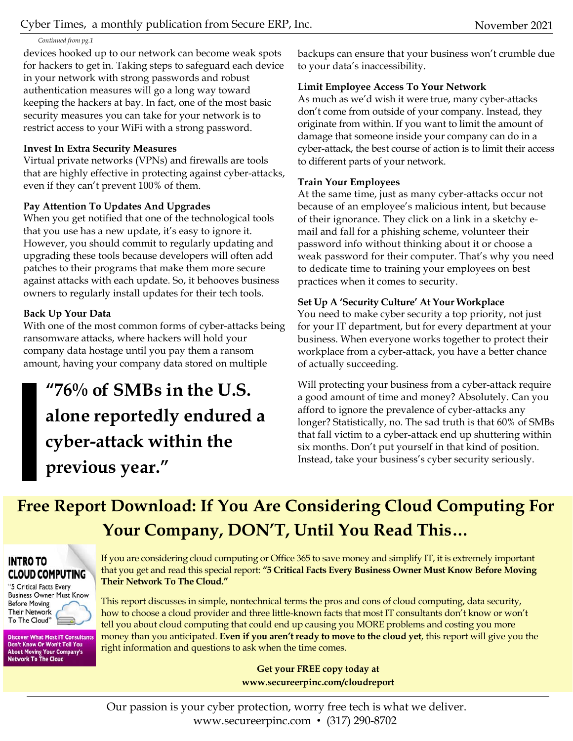#### *Continued from pg.1*

devices hooked up to our network can become weak spots for hackers to get in. Taking steps to safeguard each device in your network with strong passwords and robust authentication measures will go a long way toward keeping the hackers at bay. In fact, one of the most basic security measures you can take for your network is to restrict access to your WiFi with a strong password.

### **Invest In Extra Security Measures**

Virtual private networks (VPNs) and firewalls are tools that are highly effective in protecting against cyber-attacks, even if they can't prevent 100% of them.

### **Pay Attention To Updates And Upgrades**

When you get notified that one of the technological tools that you use has a new update, it's easy to ignore it. However, you should commit to regularly updating and upgrading these tools because developers will often add patches to their programs that make them more secure against attacks with each update. So, it behooves business owners to regularly install updates for their tech tools.

### **Back Up Your Data**

With one of the most common forms of cyber-attacks being ransomware attacks, where hackers will hold your company data hostage until you pay them a ransom amount, having your company data stored on multiple

### **"76% of SMBs in the U.S. alone reportedly endured a cyber-attack within the previous year."**

backups can ensure that your business won't crumble due to your data's inaccessibility.

### **Limit Employee Access To Your Network**

As much as we'd wish it were true, many cyber-attacks don't come from outside of your company. Instead, they originate from within. If you want to limit the amount of damage that someone inside your company can do in a cyber-attack, the best course of action is to limit their access to different parts of your network.

### **Train Your Employees**

At the same time, just as many cyber-attacks occur not because of an employee's malicious intent, but because of their ignorance. They click on a link in a sketchy email and fall for a phishing scheme, volunteer their password info without thinking about it or choose a weak password for their computer. That's why you need to dedicate time to training your employees on best practices when it comes to security.

### **Set Up A 'Security Culture' At Your Workplace**

You need to make cyber security a top priority, not just for your IT department, but for every department at your business. When everyone works together to protect their workplace from a cyber-attack, you have a better chance of actually succeeding.

Will protecting your business from a cyber-attack require a good amount of time and money? Absolutely. Can you afford to ignore the prevalence of cyber-attacks any longer? Statistically, no. The sad truth is that 60% of SMBs that fall victim to a cyber-attack end up shuttering within six months. Don't put yourself in that kind of position. Instead, take your business's cyber security seriously.

### **Free Report Download: If You Are Considering Cloud Computing For Your Company, DON'T, Until You Read This…**

### **INTRO TO CLOUD COMPUTING**

"5 Critical Facts Every **Business Owner Must Know Before Moving Their Network** To The Cloud"

**Discover What Most IT Consultants** Don't Know Or Won't Tell You **About Moving Your Company's<br>Network To The Cloud** 

If you are considering cloud computing or Office 365 to save money and simplify IT, it is extremely important that you get and read this special report: **"5 Critical Facts Every Business Owner Must Know Before Moving Their Network To The Cloud."**

This report discusses in simple, nontechnical terms the pros and cons of cloud computing, data security, how to choose a cloud provider and three little-known facts that most IT consultants don't know or won't tell you about cloud computing that could end up causing you MORE problems and costing you more money than you anticipated. **Even if you aren't ready to move to the cloud yet**, this report will give you the right information and questions to ask when the time comes.

> **Get your FREE copy today at www.secureerpinc.com/cloudreport**

Our passion is your cyber protection, worry free tech is what we deliver. www.secureerpinc.com • (317) 290-8702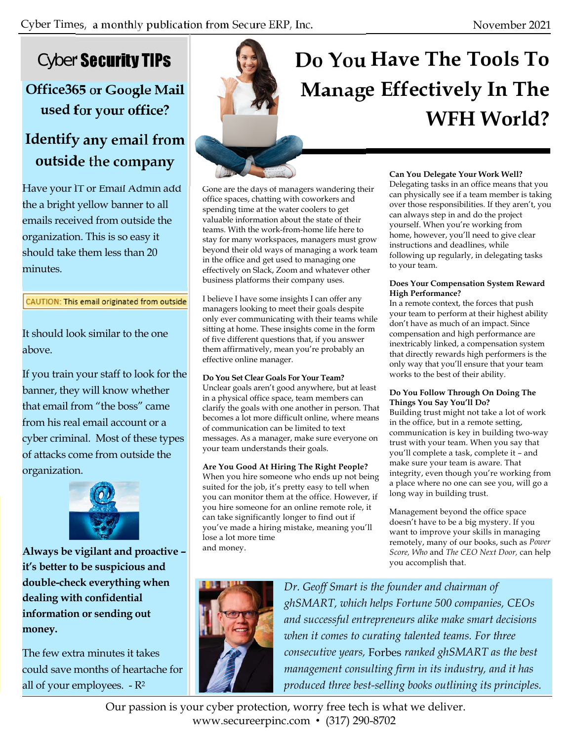### Cyber Security TIPs

### **Office365 or Google Mail used for your office?**

### **Identify any email from outside the company**

Have your IT or Email Admin add the a bright yellow banner to all emails received from outside the organization. This is so easy it should take them less than 20 minutes.

#### CAUTION: This email originated from outside

It should look similar to the one above.

If you train your staff to look for the banner, they will know whether that email from "the boss" came from his real email account or a cyber criminal. Most of these types of attacks come from outside the organization.



**Always be vigilant and proactive – it's better to be suspicious and double-check everything when dealing with confidential information or sending out money.** 

The few extra minutes it takes could save months of heartache for all of your employees.  $-R^2$ 

## **Do You Have The Tools To Manage Effectively In The WFH World?**

Gone are the days of managers wandering their office spaces, chatting with coworkers and spending time at the water coolers to get valuable information about the state of their teams. With the work-from-home life here to stay for many workspaces, managers must grow beyond their old ways of managing a work team in the office and get used to managing one effectively on Slack, Zoom and whatever other business platforms their company uses.

I believe I have some insights I can offer any managers looking to meet their goals despite only ever communicating with their teams while sitting at home. These insights come in the form of five different questions that, if you answer them affirmatively, mean you're probably an effective online manager.

#### **Do You Set Clear Goals For Your Team?**

Unclear goals aren't good anywhere, but at least in a physical office space, team members can clarify the goals with one another in person. That becomes a lot more difficult online, where means of communication can be limited to text messages. As a manager, make sure everyone on your team understands their goals.

#### **Are You Good At Hiring The Right People?**

When you hire someone who ends up not being suited for the job, it's pretty easy to tell when you can monitor them at the office. However, if you hire someone for an online remote role, it can take significantly longer to find out if you've made a hiring mistake, meaning you'll lose a lot more time and money.

#### **Can You Delegate Your Work Well?**

Delegating tasks in an office means that you can physically see if a team member is taking over those responsibilities. If they aren't, you can always step in and do the project yourself. When you're working from home, however, you'll need to give clear instructions and deadlines, while following up regularly, in delegating tasks to your team.

#### **Does Your Compensation System Reward High Performance?**

In a remote context, the forces that push your team to perform at their highest ability don't have as much of an impact. Since compensation and high performance are inextricably linked, a compensation system that directly rewards high performers is the only way that you'll ensure that your team works to the best of their ability.

#### **Do You Follow Through On Doing The Things You Say You'll Do?**

Building trust might not take a lot of work in the office, but in a remote setting, communication is key in building two-way trust with your team. When you say that you'll complete a task, complete it – and make sure your team is aware. That integrity, even though you're working from a place where no one can see you, will go a long way in building trust.

Management beyond the office space doesn't have to be a big mystery. If you want to improve your skills in managing remotely, many of our books, such as *Power Score, Who* and *The CEO Next Door,* can help you accomplish that.



*Dr. Geoff Smart is the founder and chairman of ghSMART, which helps Fortune 500 companies, CEOs and successful entrepreneurs alike make smart decisions when it comes to curating talented teams. For three consecutive years,* Forbes *ranked ghSMART as the best management consulting firm in its industry, and it has produced three best-selling books outlining its principles.* 

Our passion is your cyber protection, worry free tech is what we deliver. www.secureerpinc.com • (317) 290-8702